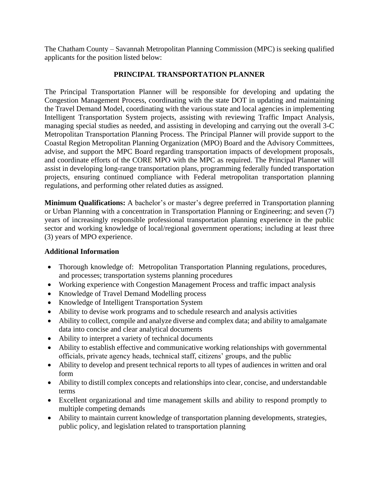The Chatham County – Savannah Metropolitan Planning Commission (MPC) is seeking qualified applicants for the position listed below:

## **PRINCIPAL TRANSPORTATION PLANNER**

The Principal Transportation Planner will be responsible for developing and updating the Congestion Management Process, coordinating with the state DOT in updating and maintaining the Travel Demand Model, coordinating with the various state and local agencies in implementing Intelligent Transportation System projects, assisting with reviewing Traffic Impact Analysis, managing special studies as needed, and assisting in developing and carrying out the overall 3-C Metropolitan Transportation Planning Process. The Principal Planner will provide support to the Coastal Region Metropolitan Planning Organization (MPO) Board and the Advisory Committees, advise, and support the MPC Board regarding transportation impacts of development proposals, and coordinate efforts of the CORE MPO with the MPC as required. The Principal Planner will assist in developing long-range transportation plans, programming federally funded transportation projects, ensuring continued compliance with Federal metropolitan transportation planning regulations, and performing other related duties as assigned.

**Minimum Qualifications:** A bachelor's or master's degree preferred in Transportation planning or Urban Planning with a concentration in Transportation Planning or Engineering; and seven (7) years of increasingly responsible professional transportation planning experience in the public sector and working knowledge of local/regional government operations; including at least three (3) years of MPO experience.

## **Additional Information**

- Thorough knowledge of: Metropolitan Transportation Planning regulations, procedures, and processes; transportation systems planning procedures
- Working experience with Congestion Management Process and traffic impact analysis
- Knowledge of Travel Demand Modelling process
- Knowledge of Intelligent Transportation System
- Ability to devise work programs and to schedule research and analysis activities
- Ability to collect, compile and analyze diverse and complex data; and ability to amalgamate data into concise and clear analytical documents
- Ability to interpret a variety of technical documents
- Ability to establish effective and communicative working relationships with governmental officials, private agency heads, technical staff, citizens' groups, and the public
- Ability to develop and present technical reports to all types of audiences in written and oral form
- Ability to distill complex concepts and relationships into clear, concise, and understandable terms
- Excellent organizational and time management skills and ability to respond promptly to multiple competing demands
- Ability to maintain current knowledge of transportation planning developments, strategies, public policy, and legislation related to transportation planning